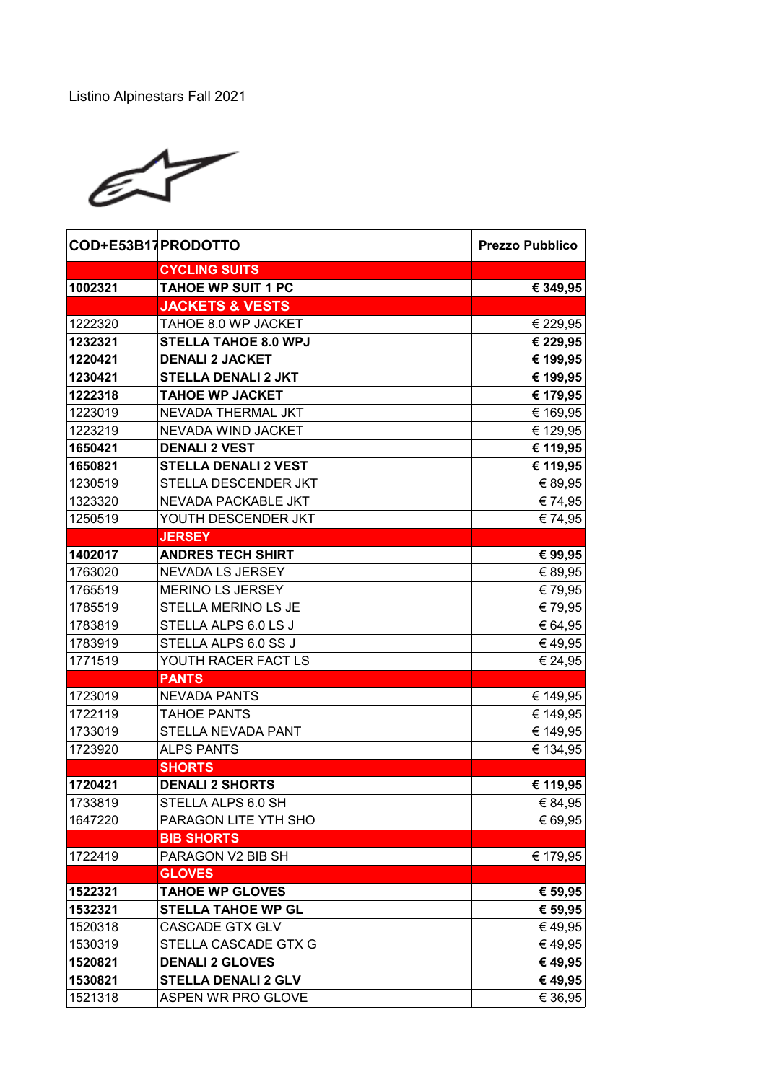

| COD+E53B17PRODOTTO |                             | <b>Prezzo Pubblico</b> |
|--------------------|-----------------------------|------------------------|
|                    | <b>CYCLING SUITS</b>        |                        |
| 1002321            | <b>TAHOE WP SUIT 1 PC</b>   | € 349,95               |
|                    | <b>JACKETS &amp; VESTS</b>  |                        |
| 1222320            | TAHOE 8.0 WP JACKET         | € 229,95               |
| 1232321            | <b>STELLA TAHOE 8.0 WPJ</b> | € 229,95               |
| 1220421            | <b>DENALI 2 JACKET</b>      | € 199,95               |
| 1230421            | <b>STELLA DENALI 2 JKT</b>  | € 199,95               |
| 1222318            | <b>TAHOE WP JACKET</b>      | € 179,95               |
| 1223019            | NEVADA THERMAL JKT          | € 169,95               |
| 1223219            | NEVADA WIND JACKET          | € 129,95               |
| 1650421            | <b>DENALI 2 VEST</b>        | € 119,95               |
| 1650821            | <b>STELLA DENALI 2 VEST</b> | € 119,95               |
| 1230519            | STELLA DESCENDER JKT        | € 89,95                |
| 1323320            | NEVADA PACKABLE JKT         | € 74,95                |
| 1250519            | YOUTH DESCENDER JKT         | € 74,95                |
|                    | <b>JERSEY</b>               |                        |
| 1402017            | <b>ANDRES TECH SHIRT</b>    | € 99,95                |
| 1763020            | NEVADA LS JERSEY            | € 89,95                |
| 1765519            | <b>MERINO LS JERSEY</b>     | € 79,95                |
| 1785519            | STELLA MERINO LS JE         | € 79,95                |
| 1783819            | STELLA ALPS 6.0 LS J        | € 64,95                |
| 1783919            | STELLA ALPS 6.0 SS J        | €49,95                 |
| 1771519            | YOUTH RACER FACT LS         | € 24,95                |
|                    | <b>PANTS</b>                |                        |
| 1723019            | <b>NEVADA PANTS</b>         | € 149,95               |
| 1722119            | TAHOE PANTS                 | € 149,95               |
| 1733019            | STELLA NEVADA PANT          | € 149,95               |
| 1723920            | <b>ALPS PANTS</b>           | € 134,95               |
|                    | <b>SHORTS</b>               |                        |
| 1720421            | <b>DENALI 2 SHORTS</b>      | € 119,95               |
| 1733819            | STELLA ALPS 6.0 SH          | € 84,95                |
| 1647220            | PARAGON LITE YTH SHO        | € 69,95                |
|                    | <b>BIB SHORTS</b>           |                        |
| 1722419            | PARAGON V2 BIB SH           | € 179,95               |
|                    | <b>GLOVES</b>               |                        |
| 1522321            | <b>TAHOE WP GLOVES</b>      | € 59,95                |
| 1532321            | <b>STELLA TAHOE WP GL</b>   | € 59,95                |
| 1520318            | <b>CASCADE GTX GLV</b>      | €49,95                 |
| 1530319            | STELLA CASCADE GTX G        | €49,95                 |
| 1520821            | <b>DENALI 2 GLOVES</b>      | € 49,95                |
| 1530821            | <b>STELLA DENALI 2 GLV</b>  | € 49,95                |
| 1521318            | ASPEN WR PRO GLOVE          | € 36,95                |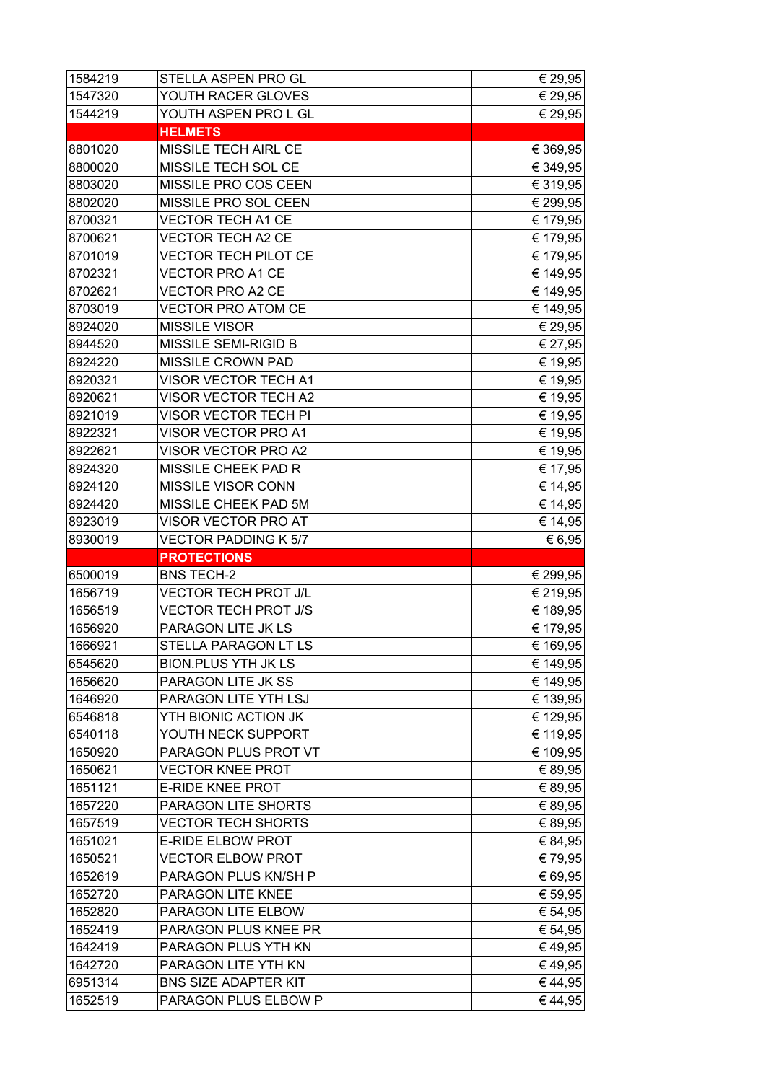| 1584219 | STELLA ASPEN PRO GL         | € 29,95  |
|---------|-----------------------------|----------|
| 1547320 | YOUTH RACER GLOVES          | € 29,95  |
| 1544219 | YOUTH ASPEN PRO L GL        | € 29,95  |
|         | <b>HELMETS</b>              |          |
| 8801020 | MISSILE TECH AIRL CE        | € 369,95 |
| 8800020 | MISSILE TECH SOL CE         | € 349,95 |
| 8803020 | MISSILE PRO COS CEEN        | € 319,95 |
| 8802020 | MISSILE PRO SOL CEEN        | € 299,95 |
| 8700321 | <b>VECTOR TECH A1 CE</b>    | € 179,95 |
| 8700621 | <b>VECTOR TECH A2 CE</b>    | € 179,95 |
| 8701019 | <b>VECTOR TECH PILOT CE</b> | € 179,95 |
| 8702321 | <b>VECTOR PRO A1 CE</b>     | € 149,95 |
| 8702621 | VECTOR PRO A2 CE            | € 149,95 |
| 8703019 | <b>VECTOR PRO ATOM CE</b>   | € 149,95 |
| 8924020 | <b>MISSILE VISOR</b>        | € 29,95  |
| 8944520 | MISSILE SEMI-RIGID B        | € 27,95  |
| 8924220 | MISSILE CROWN PAD           | € 19,95  |
| 8920321 | <b>VISOR VECTOR TECH A1</b> | € 19,95  |
| 8920621 | VISOR VECTOR TECH A2        | € 19,95  |
| 8921019 | <b>VISOR VECTOR TECH PI</b> | € 19,95  |
| 8922321 | VISOR VECTOR PRO A1         | € 19,95  |
| 8922621 | VISOR VECTOR PRO A2         | € 19,95  |
| 8924320 | MISSILE CHEEK PAD R         | € 17,95  |
| 8924120 | MISSILE VISOR CONN          | € 14,95  |
| 8924420 | MISSILE CHEEK PAD 5M        | € 14,95  |
| 8923019 | VISOR VECTOR PRO AT         | € 14,95  |
| 8930019 | <b>VECTOR PADDING K 5/7</b> | € 6,95   |
|         |                             |          |
|         | <b>PROTECTIONS</b>          |          |
| 6500019 | <b>BNS TECH-2</b>           | € 299,95 |
| 1656719 | <b>VECTOR TECH PROT J/L</b> | € 219,95 |
| 1656519 | <b>VECTOR TECH PROT J/S</b> | € 189,95 |
| 1656920 | PARAGON LITE JK LS          | € 179,95 |
| 1666921 | STELLA PARAGON LT LS        | € 169,95 |
| 6545620 | <b>BION.PLUS YTH JK LS</b>  | € 149,95 |
| 1656620 | PARAGON LITE JK SS          | € 149,95 |
| 1646920 | PARAGON LITE YTH LSJ        | € 139,95 |
| 6546818 | YTH BIONIC ACTION JK        | € 129,95 |
| 6540118 | YOUTH NECK SUPPORT          | € 119,95 |
| 1650920 | PARAGON PLUS PROT VT        | € 109,95 |
| 1650621 | <b>VECTOR KNEE PROT</b>     | € 89,95  |
| 1651121 | <b>E-RIDE KNEE PROT</b>     | € 89,95  |
| 1657220 | PARAGON LITE SHORTS         | € 89,95  |
| 1657519 | <b>VECTOR TECH SHORTS</b>   | € 89,95  |
| 1651021 | <b>E-RIDE ELBOW PROT</b>    | € 84,95  |
| 1650521 | <b>VECTOR ELBOW PROT</b>    | € 79,95  |
| 1652619 | PARAGON PLUS KN/SH P        | € 69,95  |
| 1652720 | PARAGON LITE KNEE           | € 59,95  |
| 1652820 | PARAGON LITE ELBOW          | € 54,95  |
| 1652419 | PARAGON PLUS KNEE PR        | € 54,95  |
| 1642419 | PARAGON PLUS YTH KN         | €49,95   |
| 1642720 | PARAGON LITE YTH KN         | € 49,95  |
| 6951314 | <b>BNS SIZE ADAPTER KIT</b> | € 44,95  |